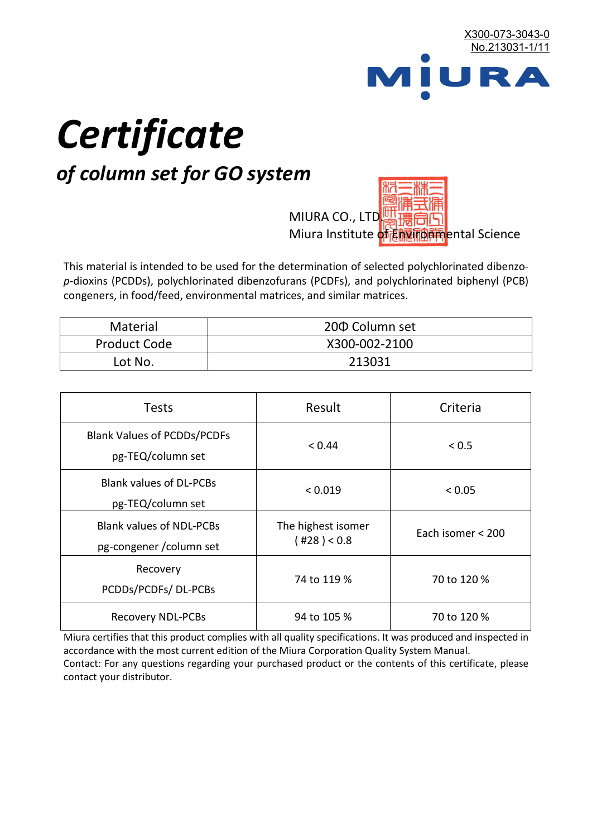

# *Certificate*

## *of column set for GO system*

MIURA CO., LTD. Miura Institute of 正版而解ental Science

This material is intended to be used for the determination of selected polychlorinated dibenzo*p*-dioxins (PCDDs), polychlorinated dibenzofurans (PCDFs), and polychlorinated biphenyl (PCB) congeners, in food/feed, environmental matrices, and similar matrices.

| <b>Material</b>     | 200 Column set |  |
|---------------------|----------------|--|
| <b>Product Code</b> | X300-002-2100  |  |
| Lot No.             | 213031         |  |

| <b>Tests</b>                                                | Result                            | Criteria          |
|-------------------------------------------------------------|-----------------------------------|-------------------|
| <b>Blank Values of PCDDs/PCDFs</b><br>pg-TEQ/column set     | < 0.44                            | ${}_{0.5}$        |
| <b>Blank values of DL-PCBs</b><br>pg-TEQ/column set         | < 0.019                           | < 0.05            |
| <b>Blank values of NDL-PCBs</b><br>pg-congener / column set | The highest isomer<br>(428) < 0.8 | Each isomer < 200 |
| Recovery<br>PCDDs/PCDFs/DL-PCBs                             | 74 to 119 %                       | 70 to 120 %       |
| <b>Recovery NDL-PCBs</b>                                    | 94 to 105 %                       | 70 to 120 %       |

Miura certifies that this product complies with all quality specifications. It was produced and inspected in accordance with the most current edition of the Miura Corporation Quality System Manual. Contact: For any questions regarding your purchased product or the contents of this certificate, please contact your distributor.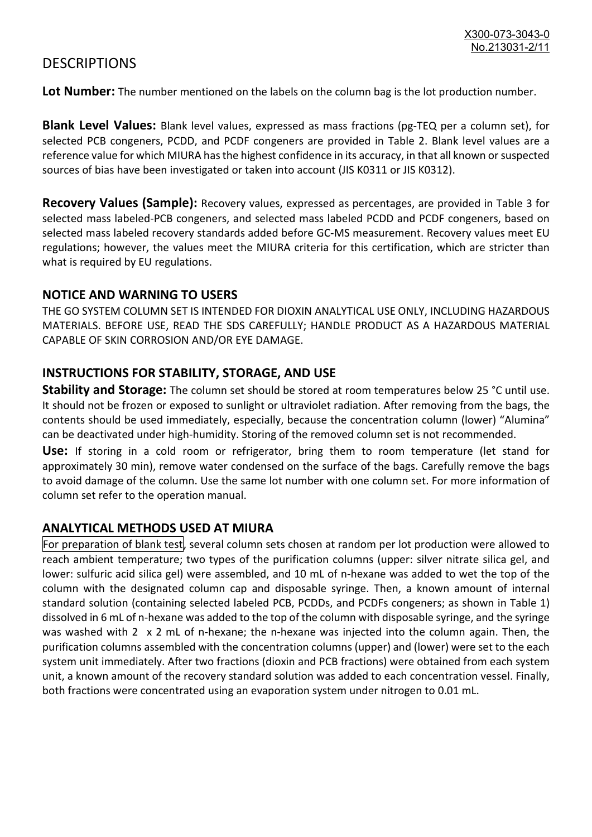### **DESCRIPTIONS**

**Lot Number:** The number mentioned on the labels on the column bag is the lot production number.

**Blank Level Values:** Blank level values, expressed as mass fractions (pg-TEQ per a column set), for selected PCB congeners, PCDD, and PCDF congeners are provided in Table 2. Blank level values are a reference value for which MIURA has the highest confidence in its accuracy, in that all known or suspected sources of bias have been investigated or taken into account (JIS K0311 or JIS K0312).

**Recovery Values (Sample):** Recovery values, expressed as percentages, are provided in Table 3 for selected mass labeled-PCB congeners, and selected mass labeled PCDD and PCDF congeners, based on selected mass labeled recovery standards added before GC-MS measurement. Recovery values meet EU regulations; however, the values meet the MIURA criteria for this certification, which are stricter than what is required by EU regulations.

#### **NOTICE AND WARNING TO USERS**

THE GO SYSTEM COLUMN SET IS INTENDED FOR DIOXIN ANALYTICAL USE ONLY, INCLUDING HAZARDOUS MATERIALS. BEFORE USE, READ THE SDS CAREFULLY; HANDLE PRODUCT AS A HAZARDOUS MATERIAL CAPABLE OF SKIN CORROSION AND/OR EYE DAMAGE.

#### **INSTRUCTIONS FOR STABILITY, STORAGE, AND USE**

**Stability and Storage:** The column set should be stored at room temperatures below 25 °C until use. It should not be frozen or exposed to sunlight or ultraviolet radiation. After removing from the bags, the contents should be used immediately, especially, because the concentration column (lower) "Alumina" can be deactivated under high-humidity. Storing of the removed column set is not recommended.

**Use:** If storing in a cold room or refrigerator, bring them to room temperature (let stand for approximately 30 min), remove water condensed on the surface of the bags. Carefully remove the bags to avoid damage of the column. Use the same lot number with one column set. For more information of column set refer to the operation manual.

#### **ANALYTICAL METHODS USED AT MIURA**

For preparation of blank test, several column sets chosen at random per lot production were allowed to reach ambient temperature; two types of the purification columns (upper: silver nitrate silica gel, and lower: sulfuric acid silica gel) were assembled, and 10 mL of n-hexane was added to wet the top of the column with the designated column cap and disposable syringe. Then, a known amount of internal standard solution (containing selected labeled PCB, PCDDs, and PCDFs congeners; as shown in Table 1) dissolved in 6 mL of n-hexane was added to the top of the column with disposable syringe, and the syringe was washed with 2 x 2 mL of n-hexane; the n-hexane was injected into the column again. Then, the purification columns assembled with the concentration columns (upper) and (lower) were set to the each system unit immediately. After two fractions (dioxin and PCB fractions) were obtained from each system unit, a known amount of the recovery standard solution was added to each concentration vessel. Finally, both fractions were concentrated using an evaporation system under nitrogen to 0.01 mL.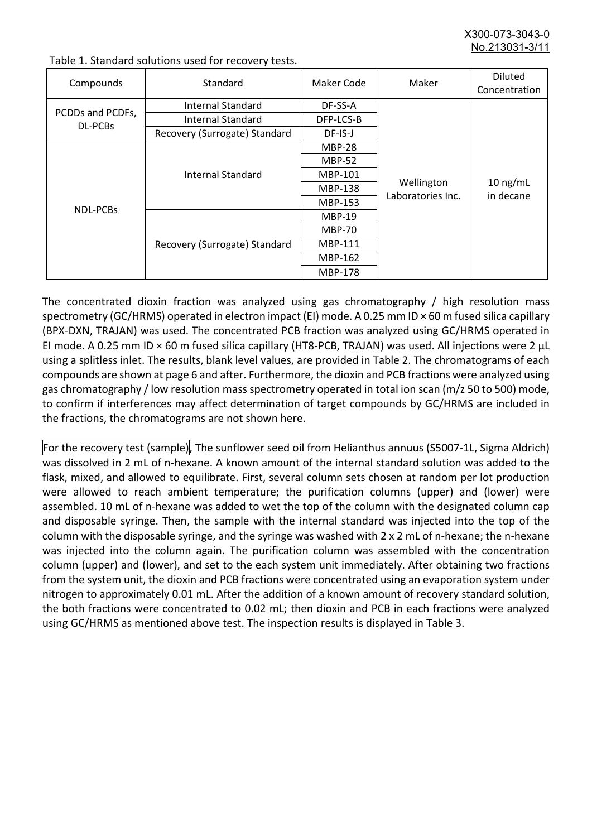X300-073-3043-0 No.213031-3/11

| Compounds                   | Standard                      | Maker Code     | Maker                           | <b>Diluted</b><br>Concentration |
|-----------------------------|-------------------------------|----------------|---------------------------------|---------------------------------|
| PCDDs and PCDFs,<br>DL-PCBs | Internal Standard             | DF-SS-A        |                                 | $10$ ng/mL<br>in decane         |
|                             | <b>Internal Standard</b>      | DFP-LCS-B      |                                 |                                 |
|                             | Recovery (Surrogate) Standard | DF-IS-J        |                                 |                                 |
| NDL-PCBs                    | Internal Standard             | <b>MBP-28</b>  | Wellington<br>Laboratories Inc. |                                 |
|                             |                               | <b>MBP-52</b>  |                                 |                                 |
|                             |                               | MBP-101        |                                 |                                 |
|                             |                               | <b>MBP-138</b> |                                 |                                 |
|                             |                               | MBP-153        |                                 |                                 |
|                             | Recovery (Surrogate) Standard | <b>MBP-19</b>  |                                 |                                 |
|                             |                               | <b>MBP-70</b>  |                                 |                                 |
|                             |                               | <b>MBP-111</b> |                                 |                                 |
|                             |                               | MBP-162        |                                 |                                 |
|                             |                               | <b>MBP-178</b> |                                 |                                 |

Table 1. Standard solutions used for recovery tests.

The concentrated dioxin fraction was analyzed using gas chromatography / high resolution mass spectrometry (GC/HRMS) operated in electron impact (EI) mode. A 0.25 mm ID × 60 m fused silica capillary (BPX-DXN, TRAJAN) was used. The concentrated PCB fraction was analyzed using GC/HRMS operated in EI mode. A 0.25 mm ID × 60 m fused silica capillary (HT8-PCB, TRAJAN) was used. All injections were 2 μL using a splitless inlet. The results, blank level values, are provided in Table 2. The chromatograms of each compounds are shown at page 6 and after. Furthermore, the dioxin and PCB fractions were analyzed using gas chromatography / low resolution mass spectrometry operated in total ion scan (m/z 50 to 500) mode, to confirm if interferences may affect determination of target compounds by GC/HRMS are included in the fractions, the chromatograms are not shown here.

For the recovery test (sample), The sunflower seed oil from Helianthus annuus (S5007-1L, Sigma Aldrich) was dissolved in 2 mL of n-hexane. A known amount of the internal standard solution was added to the flask, mixed, and allowed to equilibrate. First, several column sets chosen at random per lot production were allowed to reach ambient temperature; the purification columns (upper) and (lower) were assembled. 10 mL of n-hexane was added to wet the top of the column with the designated column cap and disposable syringe. Then, the sample with the internal standard was injected into the top of the column with the disposable syringe, and the syringe was washed with 2 x 2 mL of n-hexane; the n-hexane was injected into the column again. The purification column was assembled with the concentration column (upper) and (lower), and set to the each system unit immediately. After obtaining two fractions from the system unit, the dioxin and PCB fractions were concentrated using an evaporation system under nitrogen to approximately 0.01 mL. After the addition of a known amount of recovery standard solution, the both fractions were concentrated to 0.02 mL; then dioxin and PCB in each fractions were analyzed using GC/HRMS as mentioned above test. The inspection results is displayed in Table 3.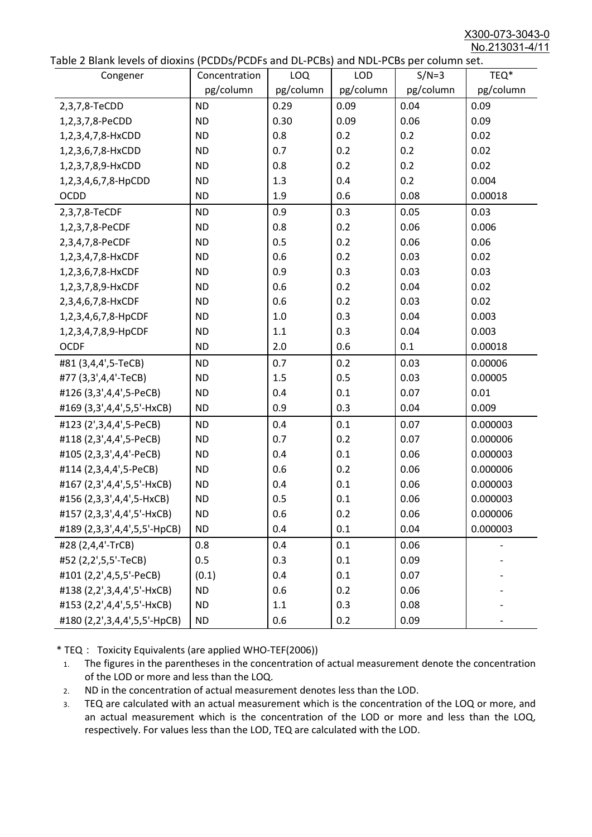X300-073-3043-0 No.213031-4/11

|  |  | Table 2 Blank levels of dioxins (PCDDs/PCDFs and DL-PCBs) and NDL-PCBs per column set. |
|--|--|----------------------------------------------------------------------------------------|
|--|--|----------------------------------------------------------------------------------------|

| abic 2 Diarik icveis of dioxins (I CDD3/TCDTs and DET CD3/ and NDET CD3 pcr column sett.<br>Congener | Concentration | <b>LOQ</b> | <b>LOD</b> | $S/N=3$   | TEQ*      |
|------------------------------------------------------------------------------------------------------|---------------|------------|------------|-----------|-----------|
|                                                                                                      | pg/column     | pg/column  | pg/column  | pg/column | pg/column |
| 2,3,7,8-TeCDD                                                                                        | <b>ND</b>     | 0.29       | 0.09       | 0.04      | 0.09      |
| 1,2,3,7,8-PeCDD                                                                                      | <b>ND</b>     | 0.30       | 0.09       | 0.06      | 0.09      |
| 1,2,3,4,7,8-HxCDD                                                                                    | <b>ND</b>     | 0.8        | 0.2        | 0.2       | 0.02      |
| 1,2,3,6,7,8-HxCDD                                                                                    | <b>ND</b>     | 0.7        | 0.2        | 0.2       | 0.02      |
| 1,2,3,7,8,9-HxCDD                                                                                    | <b>ND</b>     | 0.8        | 0.2        | 0.2       | 0.02      |
| 1,2,3,4,6,7,8-HpCDD                                                                                  | <b>ND</b>     | 1.3        | 0.4        | 0.2       | 0.004     |
| <b>OCDD</b>                                                                                          | <b>ND</b>     | 1.9        | 0.6        | 0.08      | 0.00018   |
| 2,3,7,8-TeCDF                                                                                        | <b>ND</b>     | 0.9        | 0.3        | 0.05      | 0.03      |
| 1,2,3,7,8-PeCDF                                                                                      | <b>ND</b>     | 0.8        | 0.2        | 0.06      | 0.006     |
| 2,3,4,7,8-PeCDF                                                                                      | <b>ND</b>     | 0.5        | 0.2        | 0.06      | 0.06      |
| 1,2,3,4,7,8-HxCDF                                                                                    | <b>ND</b>     | 0.6        | 0.2        | 0.03      | 0.02      |
| 1,2,3,6,7,8-HxCDF                                                                                    | <b>ND</b>     | 0.9        | 0.3        | 0.03      | 0.03      |
| 1,2,3,7,8,9-HxCDF                                                                                    | <b>ND</b>     | 0.6        | 0.2        | 0.04      | 0.02      |
| 2,3,4,6,7,8-HxCDF                                                                                    | <b>ND</b>     | 0.6        | 0.2        | 0.03      | 0.02      |
| 1,2,3,4,6,7,8-HpCDF                                                                                  | <b>ND</b>     | 1.0        | 0.3        | 0.04      | 0.003     |
| 1,2,3,4,7,8,9-HpCDF                                                                                  | <b>ND</b>     | 1.1        | 0.3        | 0.04      | 0.003     |
| <b>OCDF</b>                                                                                          | <b>ND</b>     | 2.0        | 0.6        | 0.1       | 0.00018   |
| #81 (3,4,4',5-TeCB)                                                                                  | <b>ND</b>     | 0.7        | 0.2        | 0.03      | 0.00006   |
| #77 (3,3',4,4'-TeCB)                                                                                 | <b>ND</b>     | 1.5        | 0.5        | 0.03      | 0.00005   |
| #126 (3,3',4,4',5-PeCB)                                                                              | <b>ND</b>     | 0.4        | 0.1        | 0.07      | 0.01      |
| #169 (3,3',4,4',5,5'-HxCB)                                                                           | <b>ND</b>     | 0.9        | 0.3        | 0.04      | 0.009     |
| #123 (2',3,4,4',5-PeCB)                                                                              | <b>ND</b>     | 0.4        | 0.1        | 0.07      | 0.000003  |
| #118 (2,3',4,4',5-PeCB)                                                                              | <b>ND</b>     | 0.7        | 0.2        | 0.07      | 0.000006  |
| #105 (2,3,3',4,4'-PeCB)                                                                              | <b>ND</b>     | 0.4        | 0.1        | 0.06      | 0.000003  |
| #114 (2,3,4,4',5-PeCB)                                                                               | <b>ND</b>     | 0.6        | 0.2        | 0.06      | 0.000006  |
| #167 (2,3',4,4',5,5'-HxCB)                                                                           | <b>ND</b>     | 0.4        | 0.1        | 0.06      | 0.000003  |
| #156 (2,3,3',4,4',5-HxCB)                                                                            | <b>ND</b>     | 0.5        | 0.1        | 0.06      | 0.000003  |
| #157 (2,3,3',4,4',5'-HxCB)                                                                           | <b>ND</b>     | 0.6        | 0.2        | 0.06      | 0.000006  |
| #189 (2,3,3',4,4',5,5'-HpCB)                                                                         | <b>ND</b>     | 0.4        | 0.1        | 0.04      | 0.000003  |
| #28 (2,4,4'-TrCB)                                                                                    | 0.8           | 0.4        | 0.1        | 0.06      |           |
| #52 (2,2',5,5'-TeCB)                                                                                 | 0.5           | 0.3        | 0.1        | 0.09      |           |
| #101 (2,2',4,5,5'-PeCB)                                                                              | (0.1)         | 0.4        | 0.1        | 0.07      |           |
| #138 (2,2',3,4,4',5'-HxCB)                                                                           | <b>ND</b>     | 0.6        | 0.2        | 0.06      |           |
| #153 (2,2',4,4',5,5'-HxCB)                                                                           | <b>ND</b>     | 1.1        | 0.3        | 0.08      |           |
| #180 (2,2',3,4,4',5,5'-HpCB)                                                                         | <b>ND</b>     | 0.6        | 0.2        | 0.09      |           |

\* TEQ: Toxicity Equivalents (are applied WHO-TEF(2006))

- 1. The figures in the parentheses in the concentration of actual measurement denote the concentration of the LOD or more and less than the LOQ.
- 2. ND in the concentration of actual measurement denotes less than the LOD.
- 3. TEQ are calculated with an actual measurement which is the concentration of the LOQ or more, and an actual measurement which is the concentration of the LOD or more and less than the LOQ, respectively. For values less than the LOD, TEQ are calculated with the LOD.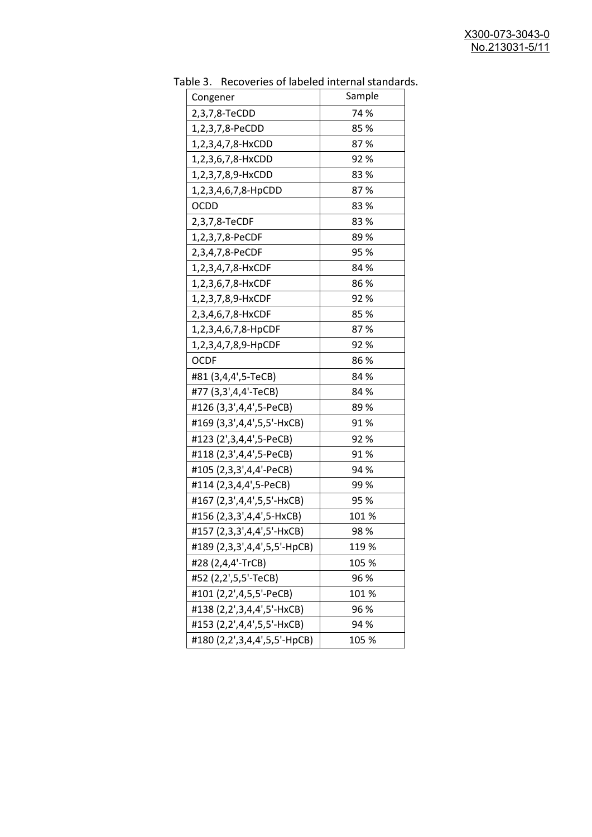| uwic J.<br>Congener          | <u>RECOVERTS OF RESERVED INTERNATION STATIONS</u><br>Sample |
|------------------------------|-------------------------------------------------------------|
| 2,3,7,8-TeCDD                | 74 %                                                        |
| 1,2,3,7,8-PeCDD              | 85%                                                         |
|                              | 87%                                                         |
| 1,2,3,4,7,8-HxCDD            |                                                             |
| 1,2,3,6,7,8-HxCDD            | 92%                                                         |
| 1,2,3,7,8,9-HxCDD            | 83%                                                         |
| 1,2,3,4,6,7,8-HpCDD          | 87%                                                         |
| <b>OCDD</b>                  | 83%                                                         |
| 2,3,7,8-TeCDF                | 83%                                                         |
| 1,2,3,7,8-PeCDF              | 89%                                                         |
| 2,3,4,7,8-PeCDF              | 95 %                                                        |
| 1,2,3,4,7,8-HxCDF            | 84 %                                                        |
| 1,2,3,6,7,8-HxCDF            | 86%                                                         |
| 1,2,3,7,8,9-HxCDF            | 92 %                                                        |
| 2,3,4,6,7,8-HxCDF            | 85%                                                         |
| 1,2,3,4,6,7,8-HpCDF          | 87%                                                         |
| 1,2,3,4,7,8,9-HpCDF          | 92%                                                         |
| <b>OCDF</b>                  | 86 %                                                        |
| #81 (3,4,4',5-TeCB)          | 84 %                                                        |
| #77 (3,3',4,4'-TeCB)         | 84 %                                                        |
| #126 (3,3',4,4',5-PeCB)      | 89%                                                         |
| #169 (3,3',4,4',5,5'-HxCB)   | 91%                                                         |
| #123 (2',3,4,4',5-PeCB)      | 92%                                                         |
| #118 (2,3',4,4',5-PeCB)      | 91%                                                         |
| #105 (2,3,3',4,4'-PeCB)      | 94 %                                                        |
| #114 (2,3,4,4',5-PeCB)       | 99 %                                                        |
| #167 (2,3',4,4',5,5'-HxCB)   | 95 %                                                        |
| #156 (2,3,3',4,4',5-HxCB)    | 101 %                                                       |
| #157 (2,3,3',4,4',5'-HxCB)   | 98 %                                                        |
| #189 (2,3,3',4,4',5,5'-HpCB) | 119 %                                                       |
| #28 (2,4,4'-TrCB)            | 105 %                                                       |
| #52 (2,2',5,5'-TeCB)         | 96 %                                                        |
| #101 (2,2',4,5,5'-PeCB)      | 101%                                                        |
| #138 (2,2',3,4,4',5'-HxCB)   | 96 %                                                        |
| #153 (2,2',4,4',5,5'-HxCB)   | 94 %                                                        |
| #180 (2,2',3,4,4',5,5'-HpCB) | 105 %                                                       |

Table 3. Recoveries of labeled internal standards.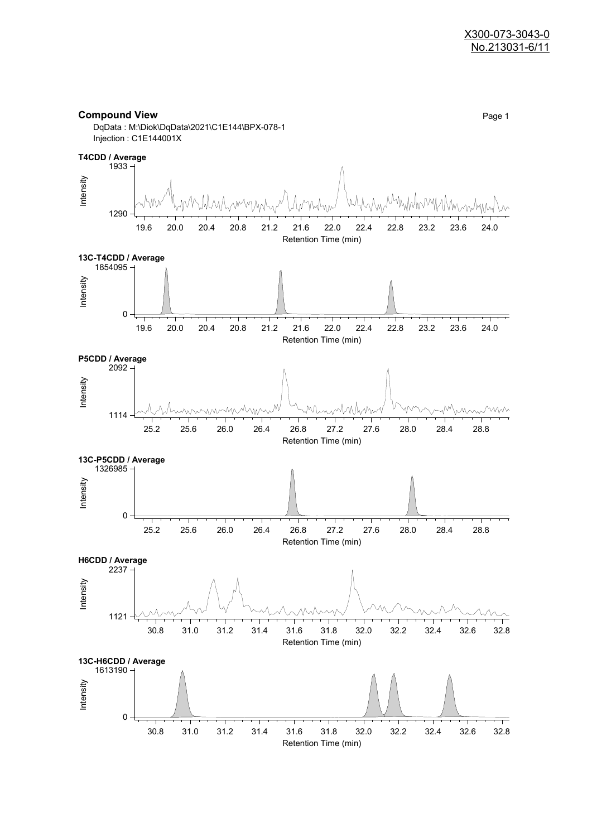

DqData : M:\Diok\DqData\2021\C1E144\BPX-078-1 Injection : C1E144001X

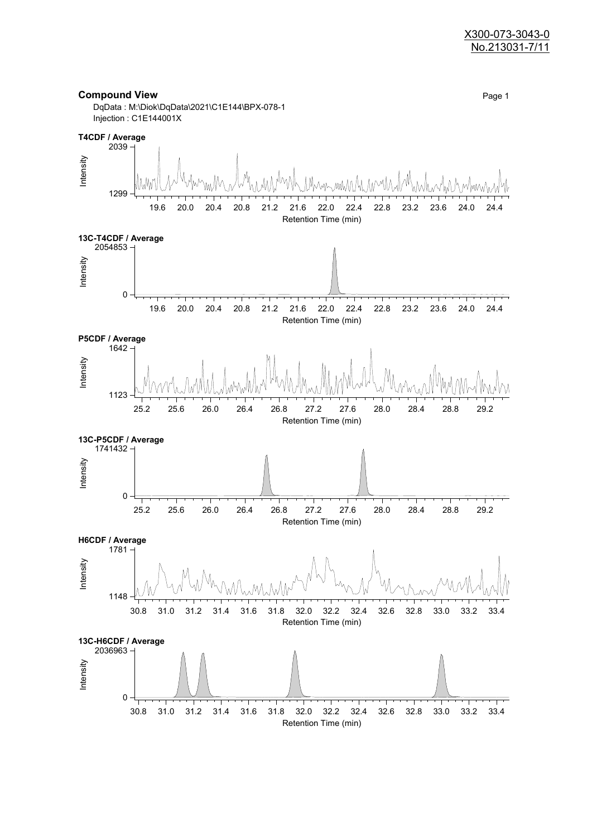#### X300-073-3043-0 No.213031-7/11

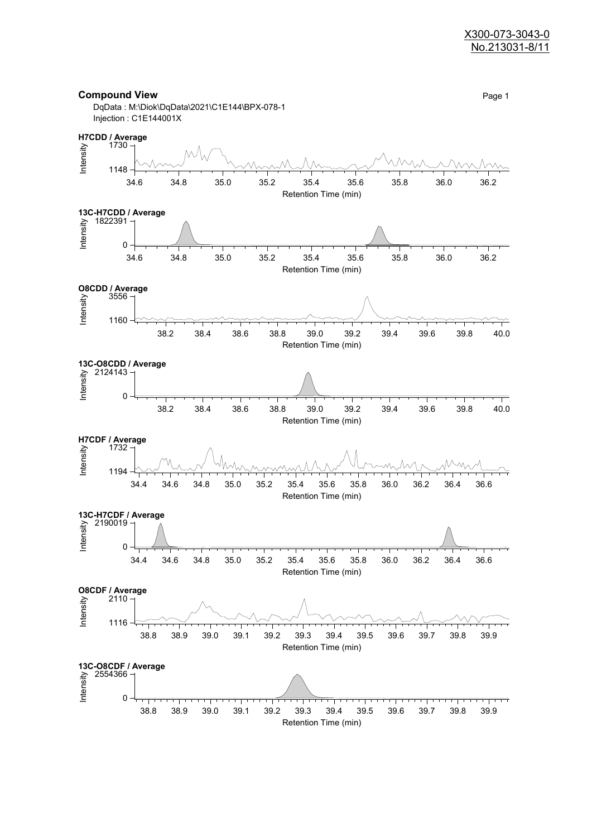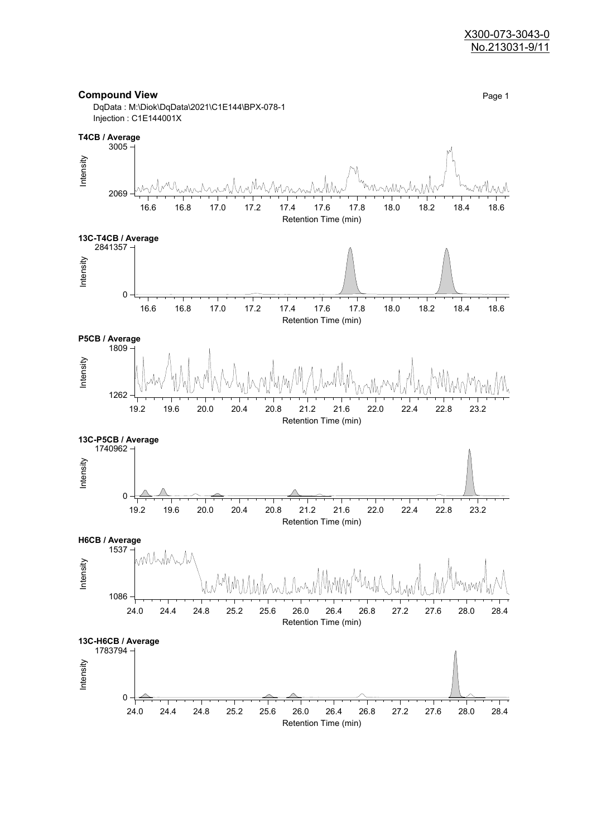

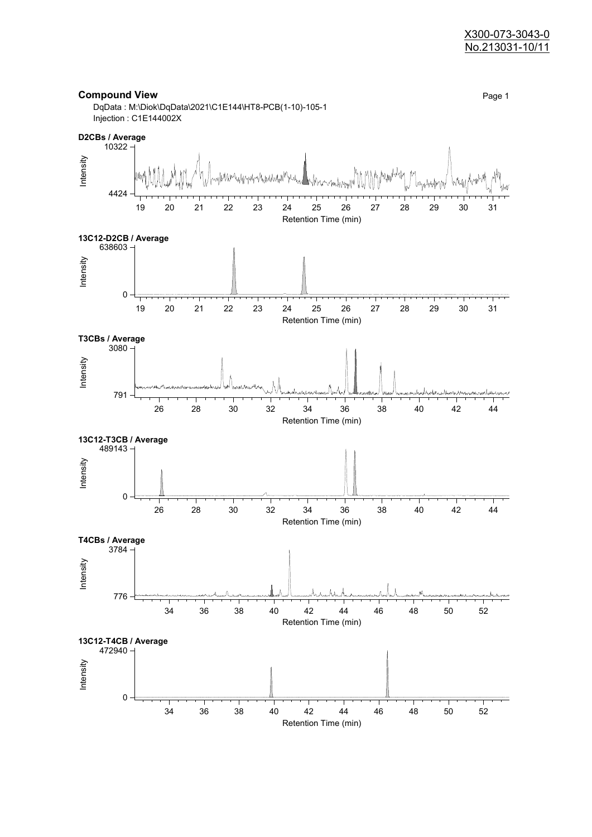